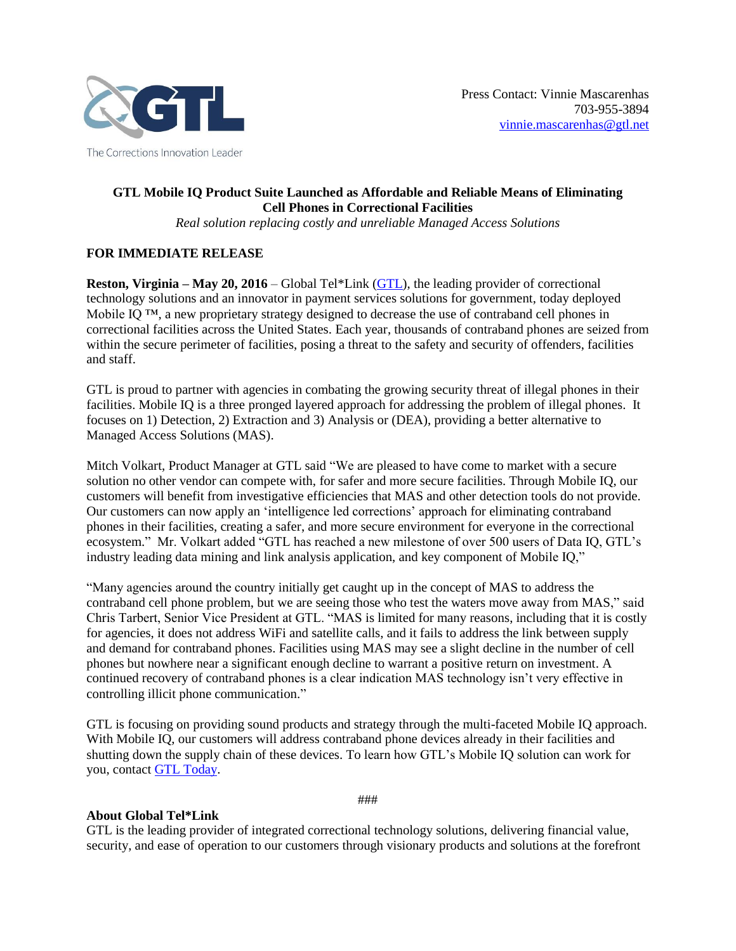

## **GTL Mobile IQ Product Suite Launched as Affordable and Reliable Means of Eliminating Cell Phones in Correctional Facilities**

*Real solution replacing costly and unreliable Managed Access Solutions*

## **FOR IMMEDIATE RELEASE**

**Reston, Virginia – May 20, 2016** – Global Tel\*Link [\(GTL\)](http://www.gtl.net/), the leading provider of correctional technology solutions and an innovator in payment services solutions for government, today deployed Mobile IO<sup>™</sup>, a new proprietary strategy designed to decrease the use of contraband cell phones in correctional facilities across the United States. Each year, thousands of contraband phones are seized from within the secure perimeter of facilities, posing a threat to the safety and security of offenders, facilities and staff.

GTL is proud to partner with agencies in combating the growing security threat of illegal phones in their facilities. Mobile IQ is a three pronged layered approach for addressing the problem of illegal phones. It focuses on 1) Detection, 2) Extraction and 3) Analysis or (DEA), providing a better alternative to Managed Access Solutions (MAS).

Mitch Volkart, Product Manager at GTL said "We are pleased to have come to market with a secure solution no other vendor can compete with, for safer and more secure facilities. Through Mobile IQ, our customers will benefit from investigative efficiencies that MAS and other detection tools do not provide. Our customers can now apply an 'intelligence led corrections' approach for eliminating contraband phones in their facilities, creating a safer, and more secure environment for everyone in the correctional ecosystem." Mr. Volkart added "GTL has reached a new milestone of over 500 users of Data IQ, GTL's industry leading data mining and link analysis application, and key component of Mobile IQ,"

"Many agencies around the country initially get caught up in the concept of MAS to address the contraband cell phone problem, but we are seeing those who test the waters move away from MAS," said Chris Tarbert, Senior Vice President at GTL. "MAS is limited for many reasons, including that it is costly for agencies, it does not address WiFi and satellite calls, and it fails to address the link between supply and demand for contraband phones. Facilities using MAS may see a slight decline in the number of cell phones but nowhere near a significant enough decline to warrant a positive return on investment. A continued recovery of contraband phones is a clear indication MAS technology isn't very effective in controlling illicit phone communication."

GTL is focusing on providing sound products and strategy through the multi-faceted Mobile IQ approach. With Mobile IQ, our customers will address contraband phone devices already in their facilities and shutting down the supply chain of these devices. To learn how GTL's Mobile IQ solution can work for you, contact [GTL Today.](http://info.gtl.net/sales_contact_form)

## **About Global Tel\*Link**

GTL is the leading provider of integrated correctional technology solutions, delivering financial value, security, and ease of operation to our customers through visionary products and solutions at the forefront

###